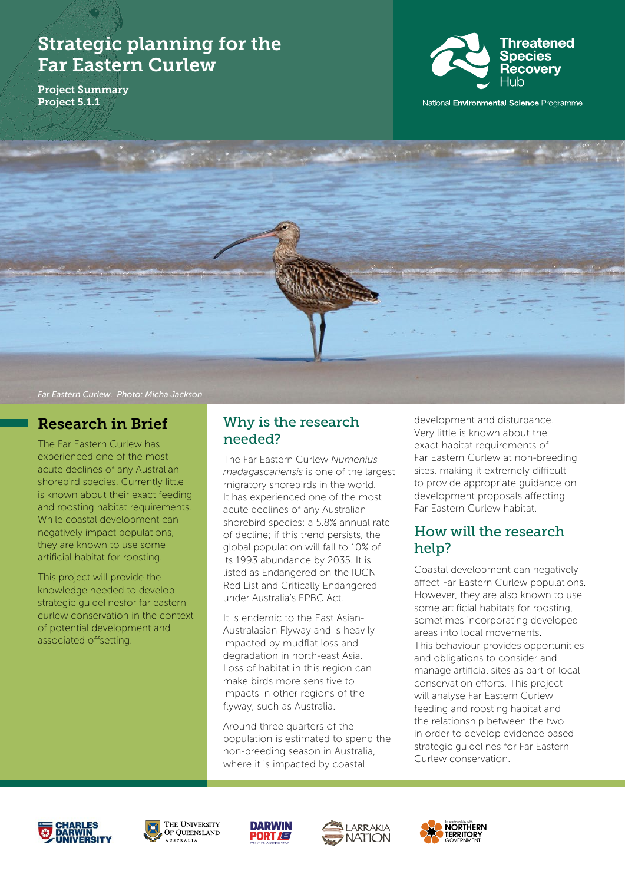# Strategic planning for the Far Eastern Curlew

Project Summary Project 5.1.1



National Environmental Science Programme



#### *Far Eastern Curlew. Photo: Micha Jackson*

## Research in Brief

The Far Eastern Curlew has experienced one of the most acute declines of any Australian shorebird species. Currently little is known about their exact feeding and roosting habitat requirements. While coastal development can negatively impact populations, they are known to use some artificial habitat for roosting.

This project will provide the knowledge needed to develop strategic guidelinesfor far eastern curlew conservation in the context of potential development and associated offsetting.

### Why is the research needed?

The Far Eastern Curlew *Numenius madagascariensis* is one of the largest migratory shorebirds in the world. It has experienced one of the most acute declines of any Australian shorebird species: a 5.8% annual rate of decline; if this trend persists, the global population will fall to 10% of its 1993 abundance by 2035. It is listed as Endangered on the IUCN Red List and Critically Endangered under Australia's EPBC Act.

It is endemic to the East Asian-Australasian Flyway and is heavily impacted by mudflat loss and degradation in north-east Asia. Loss of habitat in this region can make birds more sensitive to impacts in other regions of the flyway, such as Australia.

Around three quarters of the population is estimated to spend the non-breeding season in Australia, where it is impacted by coastal

development and disturbance. Very little is known about the exact habitat requirements of Far Eastern Curlew at non-breeding sites, making it extremely difficult to provide appropriate guidance on development proposals affecting Far Eastern Curlew habitat.

### How will the research help?

Coastal development can negatively affect Far Eastern Curlew populations. However, they are also known to use some artificial habitats for roosting, sometimes incorporating developed areas into local movements. This behaviour provides opportunities and obligations to consider and manage artificial sites as part of local conservation efforts. This project will analyse Far Eastern Curlew feeding and roosting habitat and the relationship between the two in order to develop evidence based strategic guidelines for Far Eastern Curlew conservation.









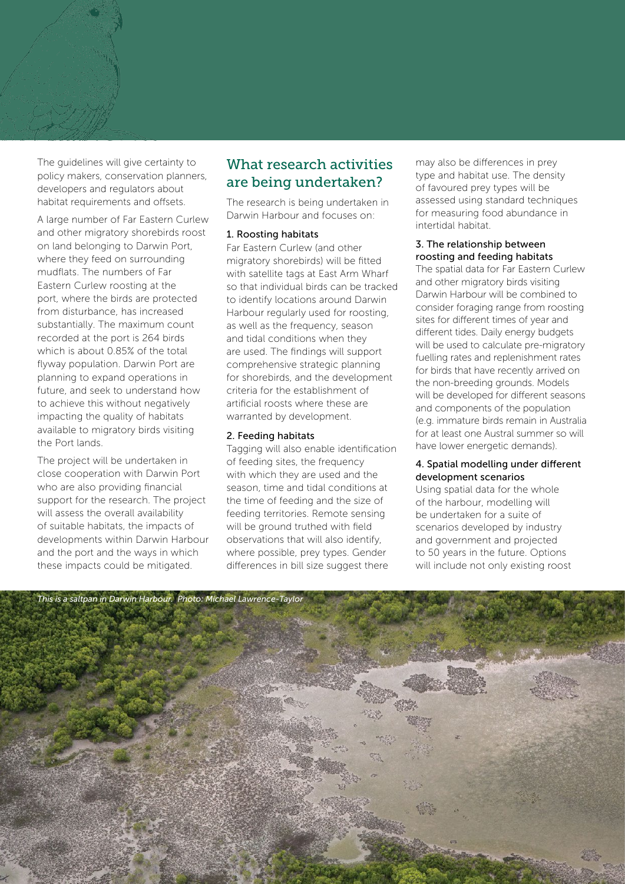The guidelines will give certainty to policy makers, conservation planners, developers and regulators about habitat requirements and offsets.

A large number of Far Eastern Curlew and other migratory shorebirds roost on land belonging to Darwin Port, where they feed on surrounding mudflats. The numbers of Far Eastern Curlew roosting at the port, where the birds are protected from disturbance, has increased substantially. The maximum count recorded at the port is 264 birds which is about 0.85% of the total flyway population. Darwin Port are planning to expand operations in future, and seek to understand how to achieve this without negatively impacting the quality of habitats available to migratory birds visiting the Port lands.

The project will be undertaken in close cooperation with Darwin Port who are also providing financial support for the research. The project will assess the overall availability of suitable habitats, the impacts of developments within Darwin Harbour and the port and the ways in which these impacts could be mitigated.

### What research activities are being undertaken?

The research is being undertaken in Darwin Harbour and focuses on:

#### 1. Roosting habitats

Far Eastern Curlew (and other migratory shorebirds) will be fitted with satellite tags at East Arm Wharf so that individual birds can be tracked to identify locations around Darwin Harbour regularly used for roosting, as well as the frequency, season and tidal conditions when they are used. The findings will support comprehensive strategic planning for shorebirds, and the development criteria for the establishment of artificial roosts where these are warranted by development.

#### 2. Feeding habitats

Tagging will also enable identification of feeding sites, the frequency with which they are used and the season, time and tidal conditions at the time of feeding and the size of feeding territories. Remote sensing will be ground truthed with field observations that will also identify, where possible, prey types. Gender differences in bill size suggest there

may also be differences in prey type and habitat use. The density of favoured prey types will be assessed using standard techniques for measuring food abundance in intertidal habitat.

#### 3. The relationship between roosting and feeding habitats

The spatial data for Far Eastern Curlew and other migratory birds visiting Darwin Harbour will be combined to consider foraging range from roosting sites for different times of year and different tides. Daily energy budgets will be used to calculate pre-migratory fuelling rates and replenishment rates for birds that have recently arrived on the non-breeding grounds. Models will be developed for different seasons and components of the population (e.g. immature birds remain in Australia for at least one Austral summer so will have lower energetic demands).

#### 4. Spatial modelling under different development scenarios

Using spatial data for the whole of the harbour, modelling will be undertaken for a suite of scenarios developed by industry and government and projected to 50 years in the future. Options will include not only existing roost